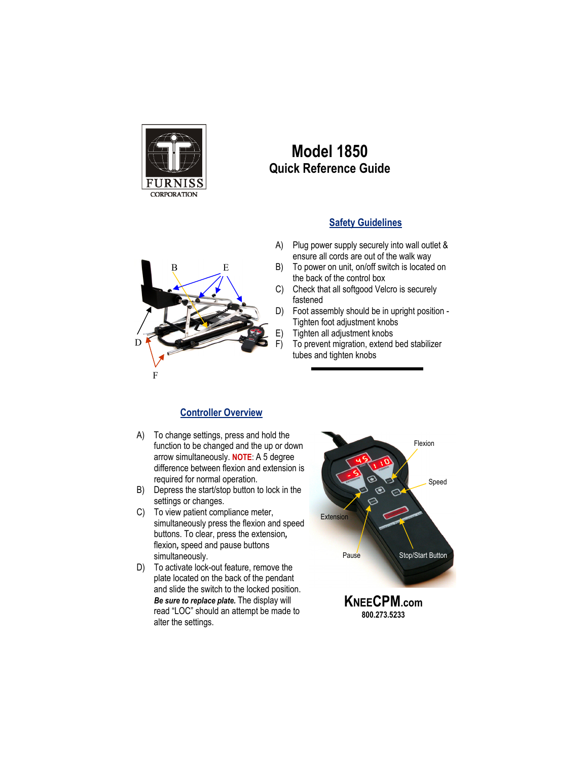

D

F

## **Model 1850 Quick Reference Guide**

## **Safety Guidelines**

- $E$
- A) Plug power supply securely into wall outlet & ensure all cords are out of the walk way
	- B) To power on unit, on/off switch is located on the back of the control box
	- C) Check that all softgood Velcro is securely fastened
	- D) Foot assembly should be in upright position Tighten foot adjustment knobs
	- E) Tighten all adjustment knobs
		- To prevent migration, extend bed stabilizer tubes and tighten knobs

## **Controller Overview**

- A) To change settings, press and hold the function to be changed and the up or down arrow simultaneously. **NOTE**: A 5 degree difference between flexion and extension is required for normal operation.
- B) Depress the start/stop button to lock in the settings or changes.
- C) To view patient compliance meter, simultaneously press the flexion and speed buttons. To clear, press the extension*,* flexion*,* speed and pause buttons simultaneously.
- D) To activate lock-out feature, remove the plate located on the back of the pendant and slide the switch to the locked position. *Be sure to replace plate.* The display will read "LOC" should an attempt be made to alter the settings.



**KNEECPM.com 800.273.5233**